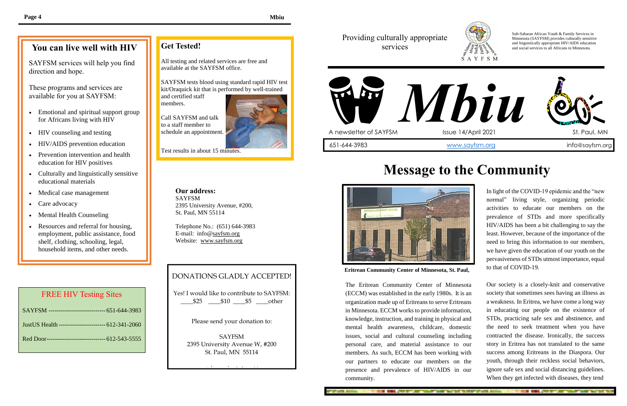In light of the COVID-19 epidemic and the "new normal" living style, organizing periodic activities to educate our members on the prevalence of STDs and more specifically HIV/AIDS has been a bit challenging to say the least. However, because of the importance of the need to bring this information to our members, we have given the education of our youth on the pervasiveness of STDs utmost importance, equal to that of COVID-19.

Our society is a closely-knit and conservative society that sometimes sees having an illness as a weakness. In Eritrea, we have come a long way in educating our people on the existence of STDs, practicing safe sex and abstinence, and the need to seek treatment when you have contracted the disease. Ironically, the success story in Eritrea has not translated to the same success among Eritreans in the Diaspora. Our youth, through their reckless social behaviors, ignore safe sex and social distancing guidelines. When they get infected with diseases, they tend

AND REAL PROPERTY AND VALUE WAS NOT TO

direction and hope. SAYFSM services will help you find

- Emotional and spiritual support group for Africans living with HIV
- HIV counseling and testing
- HIV/AIDS prevention education
- Prevention intervention and health education for HIV positives
- Culturally and linguistically sensitive educational materials
- Medical case management
- Care advocacy
- Mental Health Counseling
- Resources and referral for housing, employment, public assistance, food shelf, clothing, schooling, legal, household items, and other needs.

The Eritrean Community Center of Minnesota (ECCM) was established in the early 1980s. It is an organization made up of Eritreans to serve Eritreans in Minnesota. ECCM works to provide information, knowledge, instruction, and training in physical and mental health awareness, childcare, domestic issues, social and cultural counseling including personal care, and material assistance to our members. As such, ECCM has been working with our partners to educate our members on the presence and prevalence of HIV/AIDS in our community.

**IN CAL AND BUT ANY WANT WAS WANTED TO BE AND A COMPA** 



## Providing culturally appropriate services



Sub-Saharan African Youth & Family Services in Minnesota (SAYFSM) provides culturally sensitive and linguistically appropriate HIV/AIDS education and social services to all Africans in Minnesota.

# **Message to the Community**



# **You can live well with HIV**

These programs and services are available for you at SAYFSM:

# **Get Tested!**

All testing and related services are free and available at the SAYFSM office.

SAYFSM tests blood using standard rapid HIV test kit/Oraquick kit that is performed by well-trained

and certified staff members.

Call SAYFSM and talk to a staff member to schedule an appointment.



Test results in about 15 minutes.

**Our address:** SAYFSM 2395 University Avenue, #200, St. Paul, MN 55114

Telephone No.: (651) 644-3983 E-mail: info@sayfsm.org Website: www.sayfsm.org

# DONATIONS GLADLY ACCEPTED!

Yes! I would like to contribute to SAYFSM: \_\_\_\_\$25 \_\_\_\_\$10 \_\_\_\_\$5 \_\_\_\_other

Please send your donation to:

SAYFSM 2395 University Avenue W, #200 St. Paul, MN 55114

Thank You will be a strong to

#### FREE HIV Testing Sites

| SAYFSM ----------------------------- 651-644-3983     |
|-------------------------------------------------------|
| Just US Health ------------------------- 612-341-2060 |
| Red Door------------------------------ 612-543-5555   |

**Eritrean Community Center of Minnesota, St. Paul,**